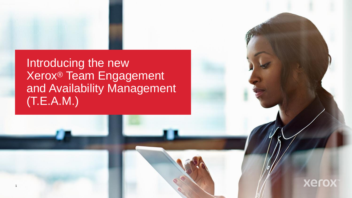Introducing the new Xerox® Team Engagement and Availability Management (T.E.A.M.)

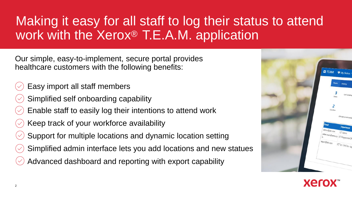# Making it easy for all staff to log their status to attend work with the Xerox® T.E.A.M. application

Our simple, easy-to-implement, secure portal provides healthcare customers with the following benefits:

- Easy import all staff members
- Simplified self onboarding capability
- Enable staff to easily log their intentions to attend work
- Keep track of your workforce availability
- Support for multiple locations and dynamic location setting
- Simplified admin interface lets you add locations and new statues
- Advanced dashboard and reporting with export capability



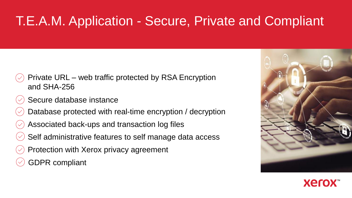# T.E.A.M. Application - Secure, Private and Compliant

- Private URL web traffic protected by RSA Encryption and SHA-256
- Secure database instance
- Database protected with real-time encryption / decryption
- Associated back-ups and transaction log files
- Self administrative features to self manage data access
- Protection with Xerox privacy agreement
- GDPR compliant



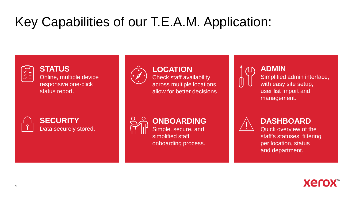# Key Capabilities of our T.E.A.M. Application:



### **STATUS**

Online, multiple device responsive one-click status report.



**SECURITY** Data securely stored.



### **LOCATION**

Check staff availability across multiple locations, allow for better decisions.



**ADMIN** Simplified admin interface, with easy site setup, user list import and management.



## **ONBOARDING**

Simple, secure, and simplified staff onboarding process.



## **DASHBOARD**

Quick overview of the staff's statuses, filtering per location, status and department.

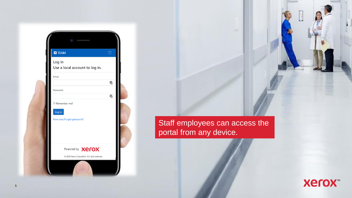| <b>ET</b> TEAM                           |     |
|------------------------------------------|-----|
| Log in<br>Use a local account to log in. |     |
| Email                                    |     |
|                                          | E.  |
| Password                                 |     |
|                                          | ١Ţ. |
| Remember me?                             |     |
| Log in                                   |     |
| New user/Forgot password?                |     |
|                                          |     |
|                                          |     |
|                                          |     |
| Powered by <b>Xerox</b>                  |     |

Staff employees can access the portal from any device.

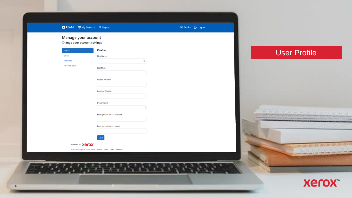| ■ TEAM ♥ My Status ▼ 圖 Report<br>Manage your account |                                                                                        | $\begin{tabular}{ll} \hline \textbf{E} & \textbf{Profit} \\ \hline \end{tabular}$ |                                                                                                                    |
|------------------------------------------------------|----------------------------------------------------------------------------------------|-----------------------------------------------------------------------------------|--------------------------------------------------------------------------------------------------------------------|
| Change your account settings                         |                                                                                        |                                                                                   |                                                                                                                    |
| Profile                                              | Profile                                                                                |                                                                                   | <b>User Profile</b>                                                                                                |
| Email                                                | <b>First Name</b>                                                                      |                                                                                   |                                                                                                                    |
| Password                                             | $\boxplus$                                                                             |                                                                                   |                                                                                                                    |
| Personal data                                        | Last Name                                                                              |                                                                                   |                                                                                                                    |
|                                                      |                                                                                        |                                                                                   |                                                                                                                    |
|                                                      | Mobile Number                                                                          |                                                                                   |                                                                                                                    |
|                                                      |                                                                                        |                                                                                   |                                                                                                                    |
|                                                      | Landline Number                                                                        |                                                                                   |                                                                                                                    |
|                                                      |                                                                                        |                                                                                   |                                                                                                                    |
|                                                      | Department                                                                             |                                                                                   |                                                                                                                    |
|                                                      |                                                                                        |                                                                                   |                                                                                                                    |
|                                                      | <b>Emergency Contact Number</b>                                                        |                                                                                   | ACTIVITY AND ALL PLAN AND ALL PLAN                                                                                 |
|                                                      |                                                                                        |                                                                                   |                                                                                                                    |
|                                                      | Emergency Contact Name                                                                 |                                                                                   |                                                                                                                    |
|                                                      |                                                                                        |                                                                                   |                                                                                                                    |
|                                                      | Save                                                                                   |                                                                                   |                                                                                                                    |
| Powered by Xerox                                     |                                                                                        |                                                                                   |                                                                                                                    |
|                                                      | @ 2020 Xerox Corporation. All rights reserved.    Privacy   Legal   Cookie Preferences |                                                                                   | <b>The Ball Experience of Figure</b><br>in a work is soon of work of most of domp of stars of their to said a sec- |
|                                                      |                                                                                        |                                                                                   |                                                                                                                    |
|                                                      |                                                                                        |                                                                                   |                                                                                                                    |
|                                                      | $\mathcal{L}$                                                                          |                                                                                   |                                                                                                                    |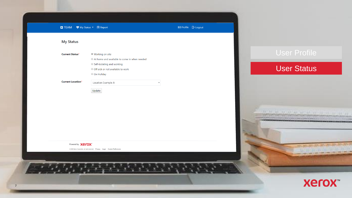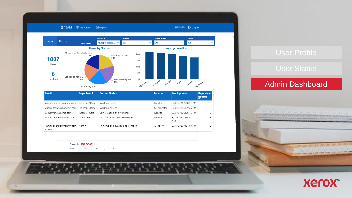

| <b>Email</b>                      | <b>Department</b> | <b>Current Status</b>             | Location   | <b>Last Updated</b>       | <b>Days since</b><br>update |
|-----------------------------------|-------------------|-----------------------------------|------------|---------------------------|-----------------------------|
| aaisha.petersen@acme.com          | Program Office    | Working on site                   | London     | 3/31/2020 5:08:31 PM      | 15                          |
| ariel.macdonald@acme.com          | Program Office    | Working on site                   | Manchester | 3/31/2020 2:09:45 PM      | 15                          |
| asmar.yang@acme.com               | Intensive Care    | Self-isolating and working        | Nantes     | 3/31/2020 3:06:15 PM      | 15                          |
| briana.medina@acme.com            | Operations        | Off sick or not available to work | London     | 3/31/2020 10:51:19<br>AM. | 15                          |
| christopher.borrmann@acm<br>e.com | Admin             | At home and available to come in  | Glasgow    | 3/31/2020 4:57:03 PM      | 15                          |

### Powered by **Xerox**

@ 2020 Xerox Corporation. All rights reserved. Privacy | Legal | Cookie Preferences

### Admin Dashboard

## **Xerox**

**John Minister**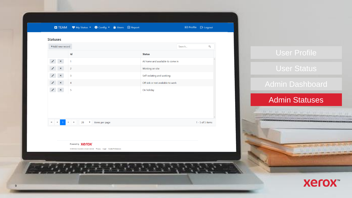

国 Profile 日 Logout

### **Statuses** +Add new record

 $\alpha$ Search...  $\mathsf{Id}$ **Status**  $\mathscr{S}$  x  $-1$ At home and available to come in  $\sqrt{2}$   $\times$  2 Working on site  $\sqrt{2}$   $\times$  3 Self-isolating and working  $\sqrt{2}$   $\times$  4 Off sick or not available to work  $\sqrt{2}$   $\times$  5 On holiday

S.

**Example 20 v** items per page

 $1 - 5$  of 5 items

### Powered by **Xerox**



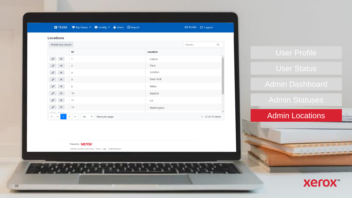|                                          | ■ TEAM ♥ My Status ▼ ● Config ▼ 前 Users ■ Report   |                 | 国 Profile <b>B</b> Logout |
|------------------------------------------|----------------------------------------------------|-----------------|---------------------------|
| Locations                                |                                                    |                 |                           |
| +Add new record                          |                                                    |                 | $\alpha$<br>Search        |
|                                          | Id                                                 | <b>Location</b> |                           |
| $\mathscr{I}$<br>$\pmb{\times}$          | $\mathbf{1}$                                       | Lisbon          |                           |
| $\sqrt{2}$                               | $\overline{2}$                                     | Paris           |                           |
| $\mathbf{x}$<br>$\mathscr{S}$            | 3                                                  | London          |                           |
| $\lambda$ x                              | 4                                                  | New York        |                           |
| $\pmb{\times}$                           | 5                                                  | Milan           |                           |
| $\lambda$ x                              | 10                                                 | Madrid          |                           |
| $\mathbf{x}$<br>$\overline{\phantom{a}}$ | 11                                                 | LA              |                           |
| $\sqrt{2}$                               | 12                                                 | Washington      |                           |
| H.<br>$\blacksquare$<br>$\rightarrow$    | 20<br>$\rightarrow$<br>$\,$<br>٠<br>items per page |                 | 1 - 12 of 12 items        |

Powered by **Xerox** 

@ 2020 Xerox Corporation. All rights reserved. Privacy | Legal | Cookie Preferences



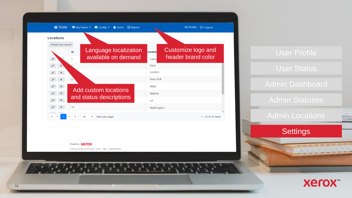

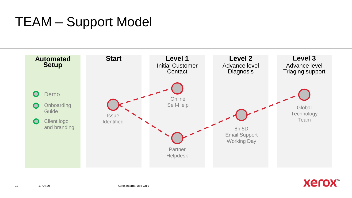## TEAM – Support Model